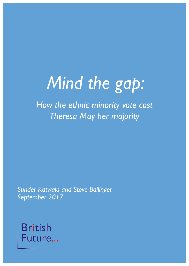# *Mind the gap:*

*How the ethnic minority vote cost Theresa May her majority*

*Sunder Katwala and Steve Ballinger September 2017*

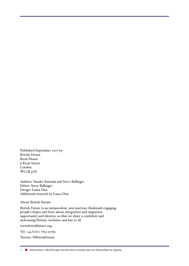Published September 2017 by: British Future Kean House 6 Kean Street London WC2B 4AS

Authors: Sunder Katwala and Steve Ballinger Editor: Steve Ballinger Design: Laura Dias Additional research by Laura Dias

About British Future:

British Future is an independent, non-partisan thinktank engaging people's hopes and fears about integration and migration, opportunity and identity, so that we share a confident and welcoming Britain, inclusive and fair to all.

www.britishfuture.org

Tel. +44 (0)20 7632 9069

Twitter: @BritishFuture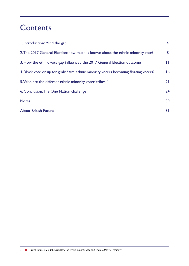# **Contents**

| 1. Introduction: Mind the gap                                                       | $\overline{4}$ |
|-------------------------------------------------------------------------------------|----------------|
| 2. The 2017 General Election: how much is known about the ethnic minority vote?     | 8              |
| 3. How the ethnic vote gap influenced the 2017 General Election outcome             | П              |
| 4. Block vote or up for grabs? Are ethnic minority voters becoming floating voters? | 16             |
| 5. Who are the different ethnic minority voter 'tribes'?                            | 21             |
| 6. Conclusion: The One Nation challenge                                             | 24             |
| <b>Notes</b>                                                                        | 30             |
| <b>About British Future</b>                                                         | 31             |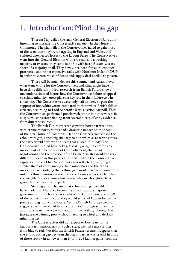# 1. Introduction: Mind the gap

Theresa May called the snap General Election of June 2017 intending to increase the Conservative majority in the House of Commons. The plan failed: the Conservatives failed to gain most of the seats that they were targeting in England and Wales, and suffered unexpected losses to the Labour Party. The Conservatives went into the General Election with 330 seats and a working majority of 17 seats; they came out of it with just 318 seats, 8 seats short of a majority at all. They have since been forced to conduct protracted and rather expensive talks with Northern Ireland's DUP in order to secure the confidence and supply deal needed to govern.

There will be much debate this summer and Autumn over what went wrong for the Conservatives, and what might have been done differently. New research from British Future shows one underestimated factor: how the Conservative failure to appeal to ethnic minority voters played a key role in their failure to win a majority. The Conservatives were only half as likely to gain the support of non-white voters compared to their white British fellow citizens, according to Lord Ashcroft's large election day poll. That the Conservatives performed poorly with ethnic minority voters in 2017 is the consistent finding from several pieces of early evidence from different sources.

The British Future research captures how that weakness with ethnic minority voters had a dramatic impact on the shape of the new House of Commons. Had the Conservatives closed the ethnic vote gap, appealing similarly to non-white as to white voters, the party would have won 28 seats that eluded it in 2017. The Conservatives would have held 346 seats, giving it a comfortable majority of 42. The politics of this parliament, the Brexit negotiations and the position of the Prime Minister would be very different indeed in this parallel universe - where the Conservative aspiration to be a One Nation party was reflected in winning a similar share of votes among ethnic minorities and the ethnic majority alike. Bridging that 'ethnic gap' would have seen around 1.2 million ethnic minority voters back the Conservatives, rather than the roughly 600,000 non-white voters who are thought to have given their support to the party.

Strikingly, even halving that ethnic vote gap would have made the difference between a minority and a majority government. In such a scenario, where the Conservatives won 32% of the ethnic minority vote, they would still trail Labour by over 20 points among non-white voters. Yet the British Future projection suggests even that would have been sufficient progress to win 10 additional seats that went to Labour in 2017, taking Theresa May just past the winning post without needing to wheel and deal with minor parties.

The Conservatives did not expect to lose seats to the Labour Party, particularly on such a scale, with 28 seats turning from blue to red. Notably, the British Future research suggests that the ethnic voting gap between the major parties was crucial in most of those seats – in no fewer than 17 of the 28 Labour gains from the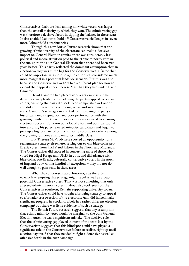Conservatives, Labour's lead among non-white voters was larger than the overall majority by which they won. The ethnic voting gap was therefore a decisive factor in tipping the balance in these seats. It also enabled Labour to hold off Conservative challenges in seven more Labour-held constituencies.

Though this new British Future research shows that the growing ethnic diversity of the electorate can make a decisive impact on General Election results, there was considerably less political and media attention paid to the ethnic minority vote in the run-up to the 2017 General Election than there had been two years before. This partly reflected the dominant assumption that an election victory was in the bag for the Conservatives: a factor that could be important in a close-fought election was considered much more marginal in a potential landslide scenario. But this was also because the Conservatives in 2017 had a different plan for how to extend their appeal under Theresa May than they had under David Cameron.

David Cameron had placed significant emphasis in his decade as party leader on broadening the party's appeal to centrist voters, ensuring the party did seek to be competitive in London and did not retreat from contesting urban and suburban city seats. Cameron's strategy saw the task of improving the party's historically weak reputation and poor performance with the growing number of ethnic minority voters as essential to securing electoral success. Cameron put a lot of effort and political capital into ensuring his party selected minority candidates and began to pick up a higher share of ethnic minority votes, particularly among the growing, affluent ethnic minority middle-class.

But Theresa May's advisers spotted an opportunity for a realignment strategy elsewhere, setting out to win blue-collar pro-Brexit voters from UKIP and Labour in the North and Midlands. The Conservatives did succeed in converting most of those who voted for Nigel Farage and UKIP in 2015, and did advance with blue-collar, pro-Brexit, culturally conservative voters in the north of England but – with a handful of exceptions – they did not do well enough to gain seats in these areas.

What they underestimated, however, was the extent to which attempting this strategy might repel as well as attract potential Conservative voters. That was not something that only affected ethnic minority voters: Labour also took seats off the Conservatives in southern, Remain-supporting university towns. The Conservatives could have sought a bridging strategy to appeal to a broader cross-section of the electorate (and did indeed make significant progress in Scotland, albeit in a rather different election campaign) but there was little evidence of such a strategy.

The British Future research suggests that any assumption that ethnic minority votes would be marginal to the 2017 General Election outcome was a significant mistake. The decisive role that the ethnic voting gap played in most of the seats lost by the Conservatives suggests that this blindspot could have played a significant role in the Conservative failure to realise, right up until election day itself, that they needed to fight a defensive as well as offensive battle in the 2017 campaign.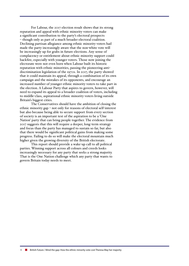For Labour, the 2017 election result shows that its strong reputation and appeal with ethnic minority voters can make a significant contribution to the party's electoral prospects – though only as part of a much broader electoral coalition. Declining partisan allegiance among ethnic minority voters had made the party increasingly aware that the non-white vote will be increasingly up for grabs in future elections. Any sense of complacency or entitlement about ethnic minority support could backfire, especially with younger voters. Those now joining the electorate were not even born when Labour built its historic reputation with ethnic minorities, passing the pioneering antidiscrimination legislation of the 1970s. In 2017, the party showed that it could maintain its appeal, through a combination of its own campaign and the mistakes of its opponents, and encourage an increased number of younger ethnic minority voters to take part in the election. A Labour Party that aspires to govern, however, will need to expand its appeal to a broader coalition of voters, including to middle-class, aspirational ethnic minority voters living outside Britain's biggest cities.

The Conservatives should have the ambition of closing the ethnic minority gap – not only for reasons of electoral self-interest but also because being able to secure support from every section of society is an important test of the aspiration to be a 'One Nation' party that can bring people together. The evidence from 2017 suggests that this will require a deeper, long-term strategy and focus than the party has managed to sustain so far, but also that there would be significant political gains from making some progress. Failing to do so will make the electoral mountain much higher given the growing diversity of the British electorate.

This report should provide a wake-up call to all political parties. Winning support across all colours and creeds looks increasingly necessary for any party that seeks a strong majority. That is the One Nation challenge which any party that wants to govern Britain today needs to meet.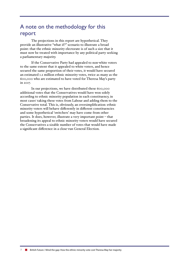### A note on the methodology for this report

The projections in this report are hypothetical. They provide an illustrative "what if?" scenario to illustrate a broad point: that the ethnic minority electorate is of such a size that it must now be treated with importance by any political party seeking a parliamentary majority.

If the Conservative Party had appealed to non-white voters to the same extent that it appealed to white voters, and hence secured the same proportion of their votes, it would have secured an estimated 1.2 million ethnic minority votes, twice as many as the 600,000 who are estimated to have voted for Theresa May's party in 2017.

In our projections, we have distributed these 600,000 additional votes that the Conservatives would have won solely according to ethnic minority population in each constituency, in most cases<sup>1</sup> taking these votes from Labour and adding them to the Conservative total. This is, obviously, an oversimplification: ethnic minority voters will behave differently in different constituencies and some hypothetical 'switchers' may have come from other parties. It does, however, illustrate a very important point – that broadening its appeal to ethnic minority voters would have secured the Conservatives a sizable number of votes that would have made a significant difference in a close-run General Election.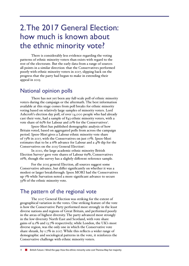# 2. The 2017 General Election: how much is known about the ethnic minority vote?

There is considerably less evidence regarding the voting patterns of ethnic minority voters than exists with regard to the rest of the electorate. But the early data from a range of sources all points in a similar direction: that the Conservatives performed poorly with ethnic minority voters in 2017, slipping back on the progress that the party had begun to make in extending their appeal in 2015.

### National opinion polls

There has not yet been any full-scale poll of ethnic minority voters during the campaign or the aftermath. The best information available at this stage comes from poll breaks for ethnic minority voting based on relatively large samples of minority voters. Lord Ashcroft's election day poll, of over 14,000 people who had already cast their vote, had a sample of 843 ethnic minority voters, with a vote share of 65% for Labour and 21% for the Conservatives $^2$ .

Ipsos-Mori has published demographic analysis of how Britain voted, based on aggregated polls from across the campaign period. Ipsos-Mori gives a Labour ethnic minority vote share of 73% in 2017, with the Conservatives on just 17%. Ipsos-Mori estimates that to be a 6% advance for Labour and a 4% dip for the Conservatives on the 2015 General Election<sup>3</sup>.

In 2010, the large academic ethnic minority British Election Survey4 gave vote shares of Labour 69%, Conservatives 16%, though the survey has a slightly different reference sample.

For the 2015 general Election, all sources suggest some Conservative advance, but differ significantly on whether it was a modest or larger breakthrough: Ipsos MORI had the Conservatives up 7% while Survation noted a more significant advance to secure 33% of the ethnic minority vote.

### The pattern of the regional vote

The 2017 General Election was striking for the extent of geographical variation in the votes. One striking feature of the vote is how the Conservative Party performed most strongly in the least diverse nations and regions of Great Britain, and performed poorly in the areas of highest diversity. The party advanced most strongly in the low-diversity North-East and Scotland, with vote share gains of 9.1% and 13.7% respectively; while London, the UK's most diverse region, was the only one in which the Conservative vote share shrank, by 1.7% in 2017. While this reflects a wider range of demographic and sociological patterns in the vote, it reinforces the Conservative challenge with ethnic minority voters.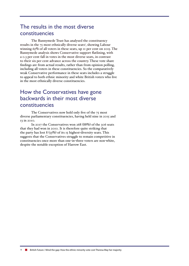### The results in the most diverse constituencies

The Runnymede Trust has analysed the constituency results in the  $75$  most ethnically diverse seats<sup>5</sup>, showing Labour winning 65% of all voters in these seats, up 11 per cent on 2015. The Runnymede analysis shows Conservative support flatlining, with a 0.3 per cent fall in votes in the most diverse seats, in contrast to their six per cent advance across the country. These vote share findings are from actual results, rather than from opinion polling, including all voters in these constituencies. So the comparatively weak Conservative performance in these seats includes a struggle to appeal to both ethnic minority and white British voters who live in the most ethnically diverse constituencies.

# How the Conservatives have gone backwards in their most diverse constituencies

The Conservatives now hold only five of the 75 most diverse parliamentary constituencies, having held nine in 2015 and 13 in 2010.

In 2017 the Conservatives won 268 (88%) of the 306 seats that they had won in 2010. It is therefore quite striking that the party has lost  $8(53\%)$  of its 15 highest-diversity seats. This suggests that the Conservatives struggle to remain competitive in constituencies once more than one-in-three voters are non-white, despite the notable exception of Harrow East.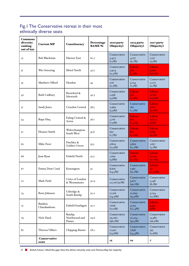#### Fig.1 The Conservative retreat in their most ethnically diverse seats

| <b>Commons</b><br>diversity<br>ranking<br>out of 650 | <b>Current MP</b>             | Constituency                        | Percentage<br><b>BAME %</b> | 2010 party<br>(Majority)               | 2015 party<br>(Majority)               | 2017 party<br>(Majority)                |
|------------------------------------------------------|-------------------------------|-------------------------------------|-----------------------------|----------------------------------------|----------------------------------------|-----------------------------------------|
| $_{13}$                                              | <b>Bob Blackman</b>           | Harrow East                         | 60.7                        | Conservative<br>3,403<br>$(7.1\%)$     | Conservative<br>4,757<br>$(9.7\%)$     | Conservative<br>1,757<br>$(3.5\%)$      |
| 3I                                                   | Wes Streeting                 | <b>Ilford North</b>                 | 47.5                        | Conservative<br>5,404<br>$(I_{I.5}\%)$ | Labour<br>589<br>$(1.2\%)$             | Labour<br>9,639<br>$(18.2\%)$           |
| 35                                                   | Matthew Offord                | Hendon                              | 45                          | Conservative<br>106<br>$(0.2\%)$       | Conservative<br>3,724<br>$(7.5\%)$     | Conservative<br>1,072<br>$(2.1\%)$      |
| 42                                                   | Ruth Cadbury                  | Brentford &<br>Isleworth            | 42.3                        | Conservative<br>1,958<br>$(3.6\%)$     | Labour<br>465<br>$(o.8\%)$             | Labour<br>12,182<br>(19.8%)             |
| 51                                                   | Sarah Jones                   | Croydon Central                     | 38.5                        | Conservative<br>2,969<br>$(5.9\%)$     | Conservative<br>165<br>$(0.3\%)$       | Labour<br>5.652<br>$(9.9\%)$            |
| 54                                                   | Rupa Huq                      | Ealing Central &<br>Acton           | 36.7                        | Conservative<br>3,716<br>$(7.9\%)$     | Labour<br>274<br>$(0.4\%)$             | Labour<br>13,807<br>$(25\%)$            |
| 57                                                   | Eleanor Smith                 | Wolverhampton<br>South West         | 35.6                        | Conservative<br>691<br>(1.7%)          | Labour<br>801<br>$(2.0\%)$             | Labour<br>2,185<br>$(5.2\%)$            |
| 62                                                   | Mike Freer                    | Finchley &<br>Golders Green         | 33.5                        | Conservative<br>5,809<br>$(12.3\%)$    | Conservative<br>5,662<br>$(I_{1.2}\%)$ | Conservative<br>1,657<br>$(3.2\%)$      |
| 66                                                   | Joan Ryan                     | Enfield North                       | 32.5                        | Conservative<br>1,692<br>$(3.8\%)$     | Labour<br>1,086<br>$(2.4\%)$           | Labour<br>10,247<br>$(21.1\%)$          |
| 67                                                   | Emma Dent Coad                | Kensington                          | 32                          | Conservative<br>8,616<br>(24.5%)       | Conservative<br>7,361<br>$(21.1\%)$    | Labour<br>20 <sub>o</sub><br>$(0.05\%)$ |
| 70                                                   | Mark Field                    | Cities of London<br>& Westminster   | 30.9                        | Conservative<br>II,076(30%)            | Conservative<br>9,671<br>(26.7%)       | Conservative<br>3,148<br>$(8.1\%)$      |
| 74                                                   | Boris Johnson                 | Uxbridge &<br>South Ruislip         | 30.2                        | Conservative<br>II,216<br>$(24.9\%)$   | Conservative<br>10,695<br>$(23.9\%)$   | Conservative<br>5,034<br>(10.8%)        |
| 75                                                   | <b>Bambos</b><br>Charalambous | <b>Enfield Southgate</b>            | 30.1                        | Conservative<br>7,626<br>$(r_{7.2}\%)$ | Conservative<br>4,753<br>$(10.4\%)$    | Labour<br>4,355<br>$\overline{(q\%)}$   |
| 79                                                   | Nick Hurd                     | Ruislip,<br>Northwood and<br>Pinner | 29.6                        | Conservative<br>19,060<br>$(38.0\%)$   | Conservative<br>20,224<br>$(39.5\%)$   | Conservative<br>13,980<br>$(26.2\%)$    |
| 82                                                   | Theresa Villiers              | Chipping Barnet                     | 28.2                        | Conservative<br>11,927<br>$(23.6\%)$   | Conservative<br>7,656<br>$(14.4\%)$    | Conservative<br>353<br>(0.6%)           |
|                                                      | <b>Conservative</b><br>seats  |                                     |                             | 15                                     | 10                                     | 7                                       |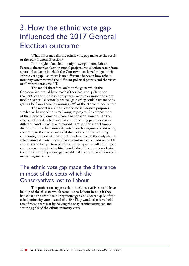# 3. How the ethnic vote gap influenced the 2017 General Election outcome

What difference did the ethnic vote gap make to the result of the 2017 General Election?

In the style of an election night swingometer, British Future's alternative election model projects the election result from a parallel universe in which the Conservatives have bridged their 'ethnic vote gap' - so there is no difference between how ethnic minority voters viewed the different political parties and the views of all voters across the UK.

The model therefore looks at the gains which the Conservatives would have made if they had won 42% rather than 21% of the ethnic minority vote. We also examine the more modest, yet still electorally crucial, gains they could have made by getting half-way there, by winning 32% of the ethnic minority vote.

The model is a simplified one for illustrative purposes – similar to the use of universal swing to project the composition of the House of Commons from a national opinion poll. In the absence of any detailed 2017 data on the voting patterns across different constituencies and minority groups, the model simply distributes the ethnic minority vote in each marginal constituency, according to the overall national share of the ethnic minority vote, using the Lord Ashcroft poll as a baseline. It then adjusts the ethnic minority vote by a similar amount in each constituency. Of course, the actual pattern of ethnic minority votes will differ from seat to seat – but the simplified model does illustrate how closing the ethnic minority voting gap would make a dramatic difference in many marginal seats.

# The ethnic vote gap made the difference in most of the seats which the Conservatives lost to Labour

The projection suggests that the Conservatives could have held 17 of the 28 seats which were lost to Labour in 2017 if they had closed the ethnic minority voting gap and secured 42% of the ethnic minority vote instead of 21%. (They would also have held ten of these seats just by halving the 2017 ethnic voting gap and securing  $32\%$  of the ethnic minority vote).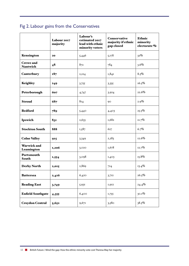# Fig 2. Labour gains from the Conservatives

|                                     | Labour 2017<br>majority | Labour's<br>estimated 2017<br>lead with ethnic<br>minority voters | Conservative<br>majority if ethnic<br>gap closed | Ethnic<br>minority<br>electorate % |
|-------------------------------------|-------------------------|-------------------------------------------------------------------|--------------------------------------------------|------------------------------------|
| Kensington                          | 20                      | 5,446                                                             | 5,178                                            | 32%                                |
| <b>Crewe</b> and<br><b>Nantwich</b> | 48                      | 872                                                               | 784                                              | $3.6\%$                            |
| Canterbury                          | 187                     | 2, I24                                                            | 1,841                                            | $8.5\%$                            |
| <b>Keighley</b>                     | 249                     | 3,755                                                             | 3,335                                            | 16.5%                              |
| Peterborough                        | 607                     | 4,747                                                             | 3,924                                            | 22.6%                              |
| <b>Stroud</b>                       | 687                     | 8I4                                                               | 90                                               | $2.9\%$                            |
| <b>Bedford</b>                      | 789                     | 5,440                                                             | 4,403                                            | 25.5%                              |
| Ipswich                             | 831                     | 2,633                                                             | 1,682                                            | 11.7%                              |
| <b>Stockton South</b>               | 888                     | 1,587                                                             | 627                                              | 6.7%                               |
| <b>Colne Valley</b>                 | 915                     | 3,349                                                             | 2,283                                            | $12.6\%$                           |
| <b>Warwick and</b><br>Leamington    | 1,206                   | 3,020                                                             | 1,678                                            | 12.7%                              |
| Portsmouth<br><b>South</b>          | 1,554                   | 3,098                                                             | 1,403                                            | $15.8\%$                           |
| <b>Derby North</b>                  | 2,015                   | 2,869                                                             | 724                                              | $13.4\%$                           |
| <b>Battersea</b>                    | 2,416                   | 6,420                                                             | 3,712                                            | 26.5%                              |
| <b>Reading East</b>                 | 3,749                   | 5,931                                                             | 1,912                                            | $24.4\%$                           |
| <b>Enfield Southgate</b>            | 4,355                   | 6,400                                                             | 1,755                                            | $30.1\%$                           |
| <b>Croydon Central</b>              | 5,652                   | 9,671                                                             | 3,580                                            | 38.5%                              |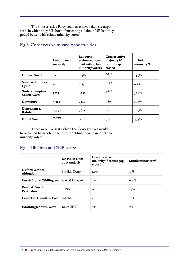The Conservative Party could also have taken six target seats in which they fell short of unseating a Labour MP, had they polled better with ethnic minority voters.

|                                    | Labour 2017<br>majority | Labour's<br>estimated 2017<br>lead with ethnic<br>minority voters | <b>Conservative</b><br>majority if<br>ethnic gap<br>closed | <b>Ethnic</b><br>minority % |
|------------------------------------|-------------------------|-------------------------------------------------------------------|------------------------------------------------------------|-----------------------------|
| <b>Dudley North</b>                | 22                      | 2,482                                                             | 2,348                                                      | $14.5\%$                    |
| Newcastle-under-<br>Lyme           | 30                      | 1,215                                                             | 1,130                                                      | $6.3\%$                     |
| Wolverhampton<br><b>South-West</b> | 2185                    | 6,633                                                             | 4,147                                                      | 35.6%                       |
| Dewsbury                           | 3,32I                   | 5,374                                                             | 1,809                                                      | 21.6%                       |
| Dagenham &<br>Rainham              | 4,652                   | 5,628                                                             | 720                                                        | $27.9\%$                    |
| <b>Ilford North</b>                | 9,639                   | II,064                                                            | 923                                                        | $47.5\%$                    |

#### Fig 3. Conservative missed opportunities

There were five seats which the Conservatives would have gained from other parties by doubling their share of ethnic minority voters.

### Fig 4. Lib Dem and SNP seats<sup>6</sup>

|                                    | <b>SNP/Lib Dem</b><br>2017 majority | <b>Conservative</b><br>majority if ethnic gap<br>closed | Ethnic minority % |
|------------------------------------|-------------------------------------|---------------------------------------------------------|-------------------|
| Oxford West &<br>Abingdon          | 816 (Lib Dem)                       | I,075                                                   | $10\%$            |
| Carshalton & Wallington            | $I,369$ (Lib Dem)                   | 2,052                                                   | $21.4\%$          |
| Perth & North<br><b>Perthshire</b> | $2I$ (SNP)                          | 352                                                     | $2.3\%$           |
| <b>Lanark &amp; Hamilton East</b>  | 266 (SNP)                           | $\overline{4}$                                          | $1.7\%$           |
| <b>Edinburgh South West</b>        | $I,$ o $97$ (SNP)                   | 303                                                     | $9\%$             |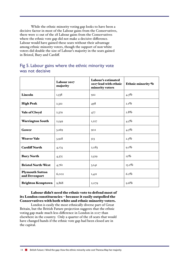While the ethnic minority voting gap looks to have been a decisive factor in most of the Labour gains from the Conservatives, there were 11 out of the 28 Labour gains from the Conservatives where the ethnic vote gap did not make a decisive difference. Labour would have gained these seats without their advantage among ethnic minority voters, though the support of non-white voters did double the size of Labour's majority in the seats gained in Bristol, Bury and Cardiff.

#### Fig 5. Labour gains where the ethnic minority vote was not decisive

|                                         | Labour 2017<br>majority | Labour's estimated<br>2017 lead with ethnic<br>minority voters | Ethnic minority % |
|-----------------------------------------|-------------------------|----------------------------------------------------------------|-------------------|
| Lincoln                                 | 1,538                   | 922                                                            | $4.3\%$           |
| <b>High Peak</b>                        | 2,322                   | 498                                                            | $2.1\%$           |
| Vale of Clwyd                           | 2,379                   | 477                                                            | $2.8\%$           |
| <b>Warrington South</b>                 | 2,549                   | 1,227                                                          | $4.5\%$           |
| Gower                                   | 3,269                   | 902                                                            | $4.5\%$           |
| <b>Weaver Vale</b>                      | 3,928                   | 513                                                            | $2.3\%$           |
| <b>Cardiff North</b>                    | 4,174                   | 2,083                                                          | $9.1\%$           |
| <b>Bury North</b>                       | 4,375                   | 2,529                                                          | $12\%$            |
| <b>Bristol North-West</b>               | 4,761                   | 3,141                                                          | $13.2\%$          |
| <b>Plymouth Sutton</b><br>and Devenport | 6,002                   | 1,411                                                          | 6.2%              |
| <b>Brighton Kemptown</b>                | 9,868                   | 2,079                                                          | 9.6%              |

#### Labour didn't need the ethnic vote to defend most of its London constituencies – because it easily outpolled the Conservatives with both white and ethnic minority voters.

London is easily the most ethnically diverse part of Great Britain, but the British Future projection suggests that the ethnic voting gap made much less difference in London in 2017 than elsewhere in the country. Only a quarter of the 28 seats that would have changed hands if the ethnic vote gap had been closed are in the capital.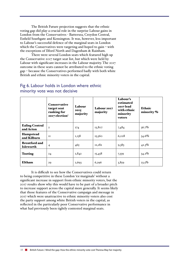The British Future projection suggests that the ethnic voting gap did play a crucial role in the surprise Labour gains in London from the Conservatives - Battersea, Croydon Central, Enfield Southgate and Kensington. It was, however, less important to Labour's successful defence of the marginal seats in London which the Conservatives were targeting and hoped to gain – with the exceptions of Ilford North and Dagenham & Rainham.

There were several London seats which featured high up the Conservative 2017 target seat list, but which were held by Labour with significant increases in the Labour majority. The 2017 outcome in these seats cannot be attributed to the ethnic voting gap – because the Conservatives performed badly with both white British and ethnic minority voters in the capital.

|                                          | <b>Conservative</b><br>target seat<br>ranking for<br>2017 election <sup>7</sup> | Labour<br>2015<br>majority | Labour 2017<br>majority | Labour's<br>estimated<br>$2017$ lead<br>with ethnic<br>minority<br>voters | <b>Ethnic</b><br>minority % |
|------------------------------------------|---------------------------------------------------------------------------------|----------------------------|-------------------------|---------------------------------------------------------------------------|-----------------------------|
| <b>Ealing Central</b><br>and Acton       | $\mathbf{2}$                                                                    | 274                        | 13,807                  | 7,484                                                                     | 36.7%                       |
| Hampstead<br>and Kilburn                 | II                                                                              | 1,138                      | 15,560                  | 6,028                                                                     | $34.6\%$                    |
| <b>Brentford and</b><br><b>Isleworth</b> | $\overline{4}$                                                                  | 465                        | 12,182                  | 9,383                                                                     | $42.3\%$                    |
| <b>Tooting</b>                           | 24                                                                              | 2,842                      | 15,458                  | 7,339                                                                     | $34.2\%$                    |
| <b>Eltham</b>                            | 29                                                                              | 2,693                      | 6,296                   | 3,859                                                                     | $23.5\%$                    |

#### Fig 6. Labour holds in London where ethnic minority vote was not decisive

It is difficult to see how the Conservatives could return to being competitive in these London 'ex-marginals' without a significant increase in support from ethnic minority voters, but the 2017 results show why this would have to be part of a broader pitch to increase support across the capital more generally. It seems likely that those features of the Conservative campaign and message in 2017 which were unattractive to ethnic minority voters also cost the party support among white British voters in the capital, as reflected in the particularly poor Conservative performance in what had previously been tightly contested marginal seats.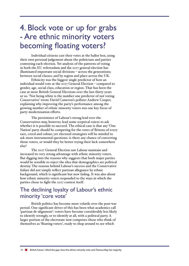# 4. Block vote or up for grabs - Are ethnic minority voters becoming floating voters?

Individual citizens cast their votes at the ballot box, using their own personal judgement about the politicians and parties contesting each election. Yet analysis of the patterns of voting in both the EU referendum and the 2017 general election has illuminated important social divisions – across the generations; between social classes; and by region and place across the UK.

Ethnicity was the biggest single predictor of how an individual would vote at the 2017 General Election – compared to gender, age, social class, education or region. That has been the case at most British General Elections over the last thirty years or so. 'Not being white is the number one predictor of not voting Conservative' wrote David Cameron's pollster Andrew Cooper, explaining why improving the party's performance among the growing number of ethnic minority voters was one key focus of party modernisation efforts.

The persistence of Labour's strong lead over the Conservatives may, however, lead some sceptical voices to ask whether it is possible to succeed. The ethical case is that any 'One Nation' party should be competing for the votes of Britons of every race, creed and colour; yet electoral strategists will be minded to ask more instrumental questions: is there any chance of converting those voters, or would they be better trying their luck somewhere else?

The 2017 General Election saw Labour maintain and increased its very strong advantage with ethnic minority voters. But digging into the reasons why suggests that both major parties would be sensible to reject the idea that demographics are political destiny. The reasons behind Labour's success and the Conservative failure did not simply reflect partisan allegiance by ethnic background, which is significant but now fading. It was also about how ethnic minority voters responded to the ways in which the parties chose to fight the 2017 contest itself.

### The declining loyalty of Labour's ethnic minority 'core vote'

British politics has become more volatile over the post-war period. One significant driver of this has been what academics call 'partisan de-alignment': voters have become considerably less likely to identify strongly, or to identify at all, with a political party. A larger portion of the electorate now comprises those who think of themselves as 'floating voters', ready to shop around to see which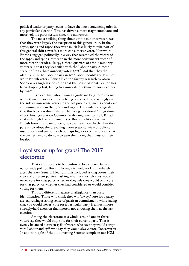political leader or party seems to have the most convincing offer in any particular election. This has driven a more fragmented vote and more volatile party system since the mid-1970s.

The most striking thing about ethnic minority voters was that they were largely the exception to this general rule. In the 1970s, 1980s and 1990s they were much less likely to take part of this general shift towards a more consumerist voter. Non-white Britons engaged politically in a way that resembled the voters of the 1950s and 1960s, rather than the more consumerist voter of more recent decades. In 1997, three-quarters of ethnic minority voters said that they identified with the Labour party. Almost six out of ten ethnic minority voters (58%) said that they did identify with the Labour party in 2010; about double the level for white British voters. British Election Survey research by Maria Sobolewska suggests, however, that this sense of identification has been dropping fast, falling to a minority of ethnic minority voters by 2015 $^8$ .

It is clear that Labour won a significant long-term reward with ethnic minority voters by being perceived to be strongly on the side of non-white voters in the big public arguments about race and immigration in the 1960s and 1970s. The evidence suggests that this legacy is diminishing. That is a generational 'integration' effect. First generation Commonwealth migrants to the UK had strikingly high levels of trust in the British political system. British-born ethnic minorities, however, are more likely than their parents to adopt the prevailing, more sceptical view of political institutions and parties, with perhaps higher expectations of what the parties need to do now to earn their vote, their trust or their loyalty.

### Loyalists or up for grabs? The 2017 electorate

That case appears to be reinforced by evidence from a nationwide poll for British Future, with fieldwork immediately after the 2017 General Election. This included asking voters their views of different parties – asking whether they felt they would never vote for that party; whether they felt they would only vote for that party; or whether they had considered or would consider voting for them.

This is a different measure of allegiance than party identification. Those who think they will 'always' vote for a party are expressing a strong sense of partisan commitment, while saying that you would 'never' vote for a particular party is a much more strongly-held aversion than merely not choosing them at the last election.

Among the electorate as a whole, around one in three voters say they would only vote for their current party. That is evenly balanced between 15% of voters who say they would always vote Labour and 15% who say they would always vote Conservative. In addition, 15% of the 1,000-strong Scottish sample in our ICM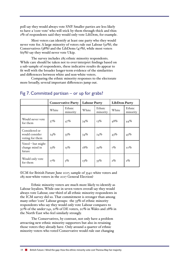poll say they would always vote SNP. Smaller parties are less likely to have a 'core vote' who will stick by them through thick and thin: 2% of respondents said they would only vote LibDem, for example.

Most voters can identify at least one party who they would never vote for. A large minority of voters rule out Labour (32%), the Conservatives (38%) and the LibDems (47%), while most voters  $(65%)$  say they would never vote Ukip.

The survey includes  $285$  ethnic minority respondents. While care should be taken not to over-interpret findings based on a sub-sample of respondents, these indicative results do appear to fit well with the broader longer-term evidence of the similarities and differences between white and non-white voters.

Comparing the ethnic minority responses to the electorate more broadly, several important differences jump out.

|                                                    | <b>Conservative Party</b> |                    | <b>Labour Party</b> |                    | <b>LibDem Party</b> |                    |
|----------------------------------------------------|---------------------------|--------------------|---------------------|--------------------|---------------------|--------------------|
|                                                    | White                     | Ethnic<br>minority | White               | Ethnic<br>minority | White               | Ethnic<br>minority |
| Would never vote<br>for them                       | 37%                       | 47%                | 34%                 | $13\%$             | 48%                 | 44%                |
| Considered or<br>would consider<br>voting for them | 24%                       | 33%                | 34%                 | 24%                | 43%                 | 45%                |
| Voted – but might<br>change mind in<br>future      | 23%                       | $15\%$             | $18\%$              | 29%                | 7%                  | $10\%$             |
| Would only vote<br>for them                        | $17\%$                    | $5\%$              | $13\%$              | 33%                | $2\%$               | $2\%$              |

#### Fig 7. Committed partisan – or up for grabs?

(ICM for British Future June 2017, sample of 3340 white voters and 285 non-white voters in the 2017 General Election)

Ethnic minority voters are much more likely to identify as Labour loyalists. While one in seven voters overall say they would always vote Labour, one-third of all ethnic minority respondents in the ICM survey did so. That commitment is stronger than among many other 'core' Labour groups: the 33% of ethnic minority respondents who say they would only vote Labour compares to 30% of the under-24s, 21% of DE voters, 20% in Wales and 28% in the North-East who feel similarly strongly.

The Conservatives, by contrast, not only have a problem attracting new ethnic minority supporters but also in retaining those voters they already have. Only around a quarter of ethnic minority voters who voted Conservative would rule out changing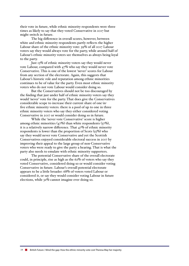their vote in future, while ethnic minority respondents were three times as likely to say that they voted Conservative in 2017 but might switch in future.

The big difference in overall scores, however, between white and ethnic minority respondents partly reflects the higher Labour share of the ethnic minority vote: 39% of all 2017 Labour voters say they would always vote for the party, while around half of Labour's ethnic minority voters see themselves as always being loyal to the party.

Just 13% of ethnic minority voters say they would never vote Labour, compared with 47% who say they would never vote Conservative. This is one of the lowest 'never' scores for Labour from any section of the electorate. Again, this suggests that Labour's historic role and reputation among ethnic minorities continues to be of value for the party. Even most ethnic minority voters who do not vote Labour would consider doing so.

But the Conservatives should not be too discouraged by the finding that just under half of ethnic minority voters say they would 'never' vote for the party. That does give the Conservatives considerable scope to increase their current share of one-infive ethnic minority voters: there is a pool of up to one in three ethnic minority voters who say they either considered voting Conservative in 2017 or would consider doing so in future.

While the 'never vote Conservative' score is higher among ethnic minorities  $(47%)$  than white respondents  $(37%)$ , it is a relatively narrow difference. That 47% of ethnic minority respondents is lower than the proportion of Scots  $(55\%)$  who say they would never vote Conservative and yet the Scottish Conservatives enjoyed considerable electoral success in 2017 by improving their appeal to the large group of non-Conservative voters who were ready to give the party a hearing. That is what the party also needs to emulate with ethnic minority supporters.

The potential Conservative share of the overall electorate could, in principle, rise as high as the 62% of voters who say they voted Conservative, considered doing so or would consider voting Conservative in future. Labour's overall potential electorate appears to be a little broader: 68% of voters voted Labour or considered it, or say they would consider voting Labour in future elections, while 32% cannot imagine ever doing so.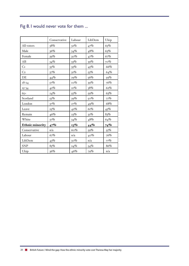# Fig 8.1 would never vote for them ...

|                        | Conservative | Labour             | LibDem | Ukip   |
|------------------------|--------------|--------------------|--------|--------|
| All voters             | 38%          | $32\%$             | 47%    | 65%    |
| Male                   | 36%          | 34%                | 48%    | 63%    |
| Female                 | $39\%$       | $30\%$             | 47%    | 67%    |
| AB                     | 34%          | 33%                | $39\%$ | $70\%$ |
| C <sub>I</sub>         | $35\%$       | $35\%$             | 45%    | $66\%$ |
| C <sub>2</sub>         | 37%          | $31\%$             | 53%    | 64%    |
| DE                     | 44%          | 29%                | 56%    | 59%    |
| $18 - 24$              | 57%          | $_{\mathrm{IO}}\%$ | $39\%$ | 76%    |
| $25 - 34$              | 42%          | 2I%                | 38%    | 62%    |
| $65+$                  | 24%          | $55\%$             | 59%    | 63%    |
| Scotland               | 55%          | $39\%$             | $50\%$ | 77%    |
| London                 | $37\%$       | 27%                | $49\%$ | 68%    |
| Leave                  | 25%          | 42%                | 61%    | $45\%$ |
| Remain                 | 46%          | 23%                | $32\%$ | 83%    |
| White                  | 37%          | 34%                | $48\%$ | 64%    |
| <b>Ethnic minority</b> | 47%          | 13%                | 44%    | 74%    |
| Conservative           | n/a          | 60%                | 59%    | 55%    |
| Labour                 | 67%          | n/a                | $40\%$ | 76%    |
| LibDem                 | $43\%$       | $30\%$             | n/a    | 77%    |
| <b>SNP</b>             | 85%          | 24%                | 54%    | $86\%$ |
| Ukip                   | 36%          | $46\%$             | $79\%$ | n/a    |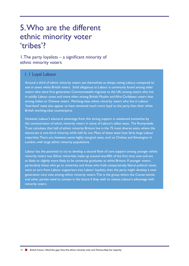# 5. Who are the different ethnic minority voter 'tribes'?

1. The party loyalists – a significant minority of ethnic minority voters

#### 1. 1 Loyal Labour

Around a third of ethnic minority voters see themselves as always voting Labour, compared to one in seven white British voters. Solid allegiance to Labour is commonly found among older voters who were first generation Commonwealth migrants to the UK; among voters who live in solidly Labour areas; and more often among British Muslim and Afro-Caribbean voters than among Indian or Chinese voters. Working-class ethnic minority voters who live in Labour 'heartland' seats also appear to have remained much more loyal to the party than their white British working-class counterparts.

However, Labour's electoral advantage from this strong support is weakened somewhat by the concentration of ethnic minority voters in some of Labour's safest seats. The Runnymede Trust calculates that half of ethnic minority Britons live in the 75 most diverse seats, where the electorate is one-third minority, while half do not. Most of these seats have fairly large Labour majorities. There are, however, some highly marginal seats, such as Chelsea and Kensington in London, with large ethnic minority populations.

Labour has the potential to try to develop a second flank of core support among younger ethnic minority voters too. Ethnic minorities make up around one-fifth of the first time vote and are as likely or slightly more likely to be university graduates as white Britons. If younger voters, particularly those who go to university and those who hold comparatively liberal political views, were to turn from Labour supporters into Labour loyalists, then the party might develop a next generation core vote among ethnic minority voters. This is the group whom the Conservatives and other parties need to contest in the future if they wish to reduce Labour's advantage with minority voters.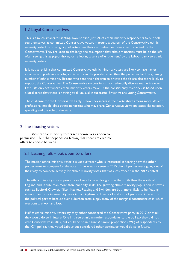#### 1.2 Loyal Conservatives

This is a much smaller, 'dissenting,' loyalist tribe. Just 5% of ethnic minority respondents to our poll see themselves as committed Conservative voters – around a quarter of the Conservative ethnic minority vote. This small group of voters see their own values and views best reflected by the Conservatives. They are keen to challenge the assumption that ethnic minorities must be on the left, often seeing this as pigeon-holing or reflecting a sense of 'entitlement' by the Labour party to ethnic minority voters.

It is not surprising that committed Conservative ethnic minority voters are likely to have higher incomes and professional jobs, and to work in the private rather than the public sector. The growing number of ethnic minority Britons who send their children to private schools are also more likely to support the Conservatives. The Conservative success in its most ethnically diverse seat in Harrow East – its only seat where ethnic minority voters make up the constituency majority - is based upon a local sense that there is nothing at all unusual in successful British Asians voting Conservative.

The challenge for the Conservative Party is how they increase their vote share among more affluent, professional middle-class ethnic minorities who may share Conservative views on issues like taxation, spending and the role of the state.

#### 2. The floating voters

Most ethnic minority voters see themselves as open to persuasion – but that depends on feeling that there are credible offers to choose between.

#### 2.1 Leaning left – but open to offers

The median ethnic minority voter is a Labour voter who is interested in hearing how the other parties want to compete for the vote. If there was a sense in 2015 that all parties were going out of their way to compete actively for ethnic minority votes, that was less evident in the 2017 contest.

The ethnic minority vote appears more likely to be up for grabs in the south than the north of England, and in suburban more than inner city seats. The growing ethnic minority population in towns such as Bedford, Crawley, Milton Keynes, Reading and Swindon are both more likely to be floating voters than those in inner city seats in Birmingham or Liverpool, and also of particular interest to the political parties because such suburban seats supply many of the marginal constituencies in which elections are won and lost.

Half of ethnic minority voters say they either considered the Conservative party in 2017 or think they would do so in future. One in three ethnic minority respondents to the poll say they did not vote Conservative in 2017, but could do so in future. A similar proportion (29%) of respondents to the ICM poll say they voted Labour but considered other parties, or would do so in future.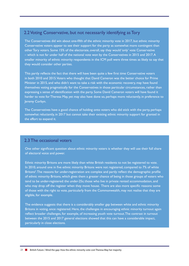#### 2.2 Voting Conservative, but not necessarily identifying as Tory

The Conservatives did win about one-fifth of the ethnic minority vote in 2017, but ethnic minority Conservative voters appear to see their support for the party as somewhat more contingent than other Tory voters. Some 15% of the electorate, overall, say they would 'only' vote Conservative – which is not far under half of the national vote won by the Conservatives in 2015 and 2017. A smaller minority of ethnic minority respondents in the ICM poll were three times as likely to say that they would consider other parties.

This partly reflects the fact that there will have been quite a few first time Conservative voters in both 2010 and 2015. Voters who thought that David Cameron was the better choice for Prime Minister in 2015, and who didn't want to take a risk with the economic recovery, may have found themselves voting pragmatically for the Conservatives in those particular circumstances, rather than expressing a sense of identification with the party. Some David Cameron voters will have found it harder to vote for Theresa May, yet may also have done so, perhaps more reluctantly, in preference to Jeremy Corbyn.

The Conservatives have a good chance of holding onto voters who did stick with the party, perhaps somewhat reluctantly, in 2017 but cannot take their existing ethnic minority support for granted in the effort to expand it.

#### 2.3 The occasional voters

One other significant question about ethnic minority voters is whether they will use their full share of electoral voice and power.

Ethnic minority Britons are more likely than white British residents to not be registered to vote. In 2010, around one in five ethnic minority Britons were not registered, compared to 7% of white Britons<sup>5</sup>. The reasons for under-registration are complex and partly reflect the demographic profile of ethnic minority Britons, which gives them a greater chance of being in those groups of voters who tend to be under-registered: the under-25s; those who live in private rented accommodation, and who may drop off the register when they move house. There are also more specific reasons: some of those with the right to vote, particularly from the Commonwealth, may not realise that they are eligible, for example.

The evidence suggests that there is a considerably smaller gap between white and ethnic minority Britons in voting, once registered. Here, the challenges in encouraging ethnic minority turnout again reflect broader challenges, for example, of increasing youth vote turnout. The contrast in turnout between the 2015 and 2017 general elections showed that this can have a considerable impact, particularly in close elections.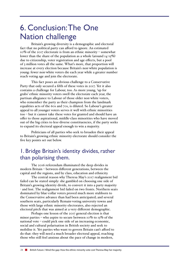# 6. Conclusion: The One Nation challenge

Britain's growing diversity is a demographic and electoral fact that no political party can afford to ignore. An estimated 10% of the 2017 electorate is from an ethnic minority – somewhat lower than the share of the population as a whole (around 14-15%) due to citizenship, voter registration and age effects, but a pool of 3 million votes all the same. What's more, that proportion will increase at every election because Britain's non-white population is young: fewer non-white voters die each year while a greater number reach voting age and join the electorate.

This fact poses an obvious challenge to a Conservative Party that only secured a fifth of these votes in 2017. Yet it also contains a challenge for Labour, too. As more young, 'up for grabs' ethnic minority voters swell the electorate each year, the partisan allegiance to Labour of those older non-white voters, who remember the party as their champion from the landmark equalities acts of the 60s and 70s, is diluted. So Labour's greater appeal to all younger voters serves it well with ethnic minorities too – but it cannot take these votes for granted and should have an offer to those aspirational, middle-class minorities who have moved out of the big cities to less-diverse constituencies, if the party seeks to expand its electoral appeal enough to win a majority.

Politicians of all parties who seek to broaden their appeal to Britain's growing ethnic minority electorate should consider the five key points set out below.

# 1. Bridge Britain's identity divides, rather than polarising them.

The 2016 referendum illuminated the deep divides in modern Britain – between different generations, between the capital and the regions, and by class, education and ethnicity.

The central reason why Theresa May's 2017 realignment bid failed can be stated simply: she gambled on choosing one side of Britain's growing identity divide, to convert it into a party majority - and lost. The realignment bid failed on two fronts. Northern seats dominated by blue-collar voters proved much more stubborn to the Conservative advance than had been anticipated; and several southern seats, particularly Remain-voting university towns and those with large ethnic minority electorates, also rejected an electoral pitch that was aimed at a very different demographic.

Perhaps one lesson of the 2017 general election is that minor parties – who aspire to secure between 10% to 15% of the national vote – could pick one side of an increasing economic, social and cultural polarisation in British society and seek to mobilise it. Yet parties who want to govern Britain can't afford to do that: they will need a much broader electoral appeal, reaching those who still feel anxious about the pace of change in modern,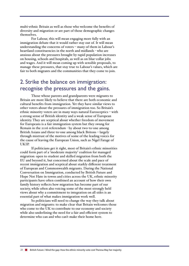multi-ethnic Britain as well as those who welcome the benefits of diversity and migration or are part of those demographic changes themselves.

For Labour, this will mean engaging more fully with an immigration debate that it would rather stay out of. It will mean understanding the concerns of voters – many of them in Labour's heartland constituencies in the north and midlands - who are anxious about the pressures brought by rapid population increases on housing, schools and hospitals, as well as on blue-collar jobs and wages. And it will mean coming up with sensible proposals, to manage these pressures, that stay true to Labour's values, which are fair to both migrants and the communities that they come to join.

### 2. Strike the balance on immigration: recognise the pressures and the gains.

Those whose parents and grandparents were migrants to Britain are more likely to believe that there are both economic and cultural benefits from immigration. Yet they have similar views to other voters about the pressures of immigration too. So Britain's ethnic minority voters are in many ways natural Eurosceptics – with a strong sense of British identity and a weak sense of European identity. They are sceptical about whether freedom of movement for Europeans is a fair immigration system but they swung for Remain in the 2016 referendum - by about two-to-one among British Asians and three-to-one among black Britons – largely through mistrust of the motives of some of the leading voices for the cause of leaving the European Union, such as Nigel Farage of UKIP.

If politicians get it right, most of Britain's ethnic minorities could form part of a 'moderate majority' coalition for managed migration: open to student and skilled migration from both the EU and beyond it, but concerned about the scale and pace of recent immigration and sceptical about starkly different treatment of European and Commonwealth migrants. During the National Conversation on Immigration, conducted by British Future and Hope Not Hate in towns and cities across the UK, ethnic minority participants have often combined an account of how their own family history reflects how migration has become part of our society, while often also voicing some of the most strongly held views about why a commitment to integration on all sides is an essential part of what makes immigration work well.

So politicians will need to change the way they talk about migration and migrants: to make clear that Britain welcomes those who come to the UK to contribute to our economy and society while also underlining the need for a fair and efficient system to determine who can and who can't make their home here.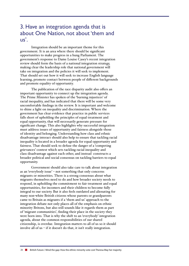### 3. Have an integration agenda that is about One Nation, not about 'them and  $\overline{\mathsf{u}}$ s'.

Integration should be an important theme for this government. It is an area where there should be significant opportunities to make progress in a hung Parliament. The government's response to Dame Louise Casey's recent integration review should form the basis of a national integration strategy, making clear the leadership role that national government will take on integration and the policies it will seek to implement. That should set out how it will seek to increase English language learning, promote contact between people of different backgrounds and promote equality of opportunity.

The publication of the race disparity audit also offers an important opportunity to connect up the integration agenda. The Prime Minister has spoken of the 'burning injustices' of racial inequality, and has indicated that there will be some very uncomfortable findings in the review. It is important and welcome to shine a light on inequality and discrimination. Where the government has clear evidence that practice in public services falls short of upholding the principles of equal treatment and equal opportunity, that will necessarily generate pressure for significant change. This also highlights why successful integration must address issues of opportunity and fairness alongside those of identity and belonging. Understanding how class and ethnic disadvantage interact should also help to ensure that tackling racial inequality is located in a broader agenda for equal opportunity and fairness. That should seek to defuse the danger of a 'competing grievances' contest which sets tackling racial inequality and class disadvantage against each other, and instead constructs a broader political and social consensus on tackling barriers to equal opportunity.

Government should also take care to talk about integration as an 'everybody issue' – not something that only concerns migrants or minorities. There is a strong consensus about what migrants themselves need to do and how broader society needs to respond, in upholding the commitment to fair treatment and equal opportunities, for incomers and their children to become fully integral to our society. But it also feels outdated and alienating for many non-white British citizens whose parents or grandparents came to Britain as migrants if a 'them and us' approach to the integration debate not only places all of the emphasis on ethnic minority Britons, but also still sounds like it regards them as part of 'migrant communities', finding their place in the society they were born into. That is why the shift to an 'everybody' integration agenda, about the common responsibilities of our shared citizenship, is overdue. Integration matters to all of us so it should involve all of us – if it doesn't do that, it isn't really integration.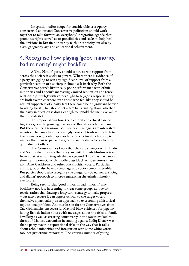Integration offers scope for considerable cross-party consensus. Labour and Conservative politicians should work together to take forward an 'everybody' integration agenda that promotes rights as well as responsibilities and seeks to help heal the divisions in Britain not just by faith or ethnicity but also by class, geography, age and educational achievement.

### 4. Recognise how playing 'good minority, bad minority' might backfire.

A 'One Nation' party should aspire to win support from across the society it seeks to govern. Where there is evidence of a party struggling to win any significant level of support from a particular section of a society, it should ask itself why. Both the Conservative party's historically poor performance with ethnic minorities and Labour's increasingly mixed reputation and tense relationships with Jewish voters ought to trigger a response: they are both examples where even those who feel like they should be natural supporters of a party feel there could be a significant barrier to voting for it. That should set alarm bells ringing about whether the party in question is doing enough to uphold the inclusive values that it professes.

This report shows how the electoral and ethical case go together given the growing diversity of British society over time. But there can be a tension too. Electoral strategists are interested in votes. They may have increasingly powerful tools with which to take a micro-segmented approach to the electorate, choosing to narrow the focus to particular groups, and perhaps to try to offer quite distinct offers.

The Conservatives know that they are stronger with Hindu and Sikh British Indians than they are with British Muslim voters from a Pakistani or Bangladeshi background. They may have more short-term potential with middle-class black African voters than with Afro-Caribbean and other black British voters. Particular ethnic groups also have distinct age and socio-economic profiles. But parties should also recognise the danger of too narrow a 'slicing and dicing' approach to micro-segmenting the ethnic minority electorate.

Being seen to play 'good minority, bad minority' may backfire – not just in seeming to treat some groups as 'out-ofreach', rather than having a long-term strategy to make progress – but also because it can appear cynical to the target voters themselves, particularly as an approach to overcoming a historical reputational problem. Another lesson for the Conservatives from Zac Goldsmith's unsuccessful Mayoral bid – criticised for pigeonholing British Indian voters with messages about the risks to family jewellery, as well as creating controversy in the way it evoked the threat of Islamist extremism in running against Sadiq Khan – was that a party may run reputational risks in the way that it talks about ethnic minorities and integration with some white voters too, not just ethnic minorities. The growing number of young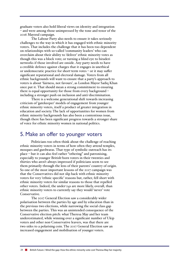graduate voters also hold liberal views on identity and integration – and were among those unimpressed by the tone and tenor of the 2016 Mayoral campaign.

The Labour Party also needs to ensure it takes seriously challenges to the way in which it has engaged with ethnic minority voters. That includes the challenge that it has been too dependent on relationships with so-called 'community leaders' who can overclaim about their ability to 'deliver' ethnic minority votes as though this was a block vote; or turning a blind eye to biraderi networks if those involved are onside. Any party needs to have a credible defence against charges that it engages in unethical or undemocratic practice for short-term votes – or it may suffer significant reputational and electoral damage. Voters from all ethnic backgrounds will want to ensure that a party's approach to voters is about 'fairness, not favours', as London Mayor Sadiq Khan once put it. That should mean a strong commitment to ensuring there is equal opportunity for those from every background – including a stronger push on inclusion and anti-discrimination.

There is a welcome generational shift towards increasing criticism of 'gatekeeper' models of engagement from younger ethnic minority voters, itself a product of greater integration in education and society. The lack of opportunities for women from ethnic minority backgrounds has also been a contentious issue, though there has been significant progress towards a stronger share of voice for ethnic minority women in national politics.

#### 5. Make an offer to younger voters

Politicians too often think about the challenge of reaching ethnic minority voters in terms of how often they attend temples, mosques and gurdwaras. That type of symbolic outreach has its place – but it can also feel rather "othering" and patronising, especially to younger British-born voters in their twenties and thirties who aren't always impressed if politicians seem to see them primarily through the lens of their parents' country of origin. So one of the most important lessons of the 2017 campaign was that the Conservatives did not slip back with ethnic minority voters for very 'ethnic specific' reasons but, rather, fell short with ethnic minority voters for similar reasons to those that repelled other voters. Indeed, the under-24s are more likely, overall, than ethnic minority voters to currently say they would 'never' vote Conservative.

The 2017 General Election saw a considerably wider polarisation between the parties by age and by education than in the previous two elections, while narrowing the social class gap between the parties. This was an unintended consequence of the Conservative election pitch: what Theresa May and her team underestimated, while winning over a significant number of Ukip voters and other non-Conservative leavers, was that there are two sides to a polarising coin. The 2017 General Election saw an increased engagement and mobilisation of younger voters.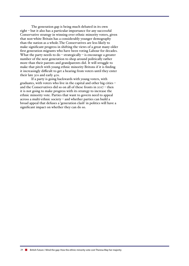The generation gap is being much debated in its own right – but it also has a particular importance for any successful Conservative strategy in winning over ethnic minority voters, given that non-white Britain has a considerably younger demography than the nation as a whole.The Conservatives are less likely to make significant progress in shifting the views of a great many older first generation migrants who have been voting Labour for decades. What the party needs to  $do$  – strategically – is encourage a greater number of the next generation to shop around politically rather more than their parents and grandparents did. It will struggle to make that pitch with young ethnic minority Britons if it is finding it increasingly difficult to get a hearing from voters until they enter their late 30s and early 40s.

If a party is going backwards with young voters, with graduates, with voters who live in the capital and other big cities – and the Conservatives did so on all of these fronts in 2017 – then it is not going to make progress with its strategy to increase the ethnic minority vote. Parties that want to govern need to appeal across a multi-ethnic society – and whether parties can build a broad appeal that defuses a 'generation clash' in politics will have a significant impact on whether they can do so.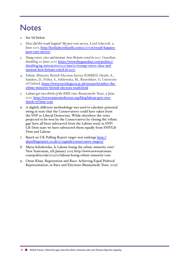# **Notes**

- 1. See (6) below.
- *2. How did this result happen? My post-vote survey*, Lord Ashcroft, 9 June 2017, http://lordashcroftpolls.com/2017/06/result-happenpost-vote-survey/
- *3. Young voters, class and turnout: how Britain voted in 2017*, Guardian datablog 20 June 2017, https://www.theguardian.com/politics/ datablog/ng-interactive/2017/jun/20/young-voters-class-andturnout-how-britain-voted-in-2017
- 4. Ethnic Minority British Election Survey (EMBES), Heath, A., Sanders, D., Fisher, S., Soblewska, M., Rosenblatt, G. Univresity of Oxford, https://www.sociology.ox.ac.uk/research/embes-theethnic-minority-british-election-study.html
- *5. Labour gets two thirds of the BME vote*, Runnymede Trust, 9 June 2017, http://www.runnymedetrust.org/blog/labour-gets-twothirds-of-bme-vote
- 6. A slightly different methodology was used to calculate potential swing in seats that the Conservatives could have taken from the SNP or Liberal Democrats. While elsewhere the votes projected to be won by the Conservatives by closing the 'ethnic gap' have all been subtracted from the Labour total, in SNP/ Lib Dem seats we have subtracted them equally from SNP/Lib Dem and Labour.
- 7. Based on UK Polling Report target seat rankings http:// ukpollingreport.co.uk/2015guide/conservative-targets/
- 8. Maria Sobolewska, Is Labour losing the ethnic minority vote? New Statesman, 5th January 2015 http://www.newstatesman. com/politics/uk/2015/01/labour-losing-ethnic-minority-vote
- 9. Omar Khan, Registration and Race: Achieving Equal Political Representation, in Race and Elections (Runnymede Trust, 2015)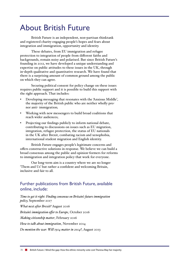# About British Future

British Future is an independent, non-partisan thinktank and registered charity engaging people's hopes and fears about integration and immigration, opportunity and identity.

These debates, from EU immigration and refugee protection to integration of people from different faiths and backgrounds, remain noisy and polarised. But since British Future's founding in 2012, we have developed a unique understanding and expertise on public attitudes to these issues in the UK, through in-depth qualitative and quantitative research. We have found that there is a surprising amount of common ground among the public on which they can agree.

Securing political consent for policy change on these issues requires public support and it is possible to build this support with the right approach. That includes:

- Developing messaging that resonates with the 'Anxious Middle', the majority of the British public who are neither wholly pronor anti- immigration;
- Working with new messengers to build broad coalitions that reach wider audiences;
- Projecting our findings publicly to inform national debate, contributing to discussions on issues such as EU migration, integration, refugee protection, the status of EU nationals in the UK after Brexit, combating racism and xenophobia, international student migration and English identity.

British Future engages people's legitimate concerns and offers constructive solutions in response. We believe we can build a broad consensus among the public and opinion-formers for reforms to immigration and integration policy that work for everyone.

Our long-term aim is a country where we are no longer 'Them and Us' but rather a confident and welcoming Britain, inclusive and fair to all.

#### Further publications from British Future, available online, include:

*Time to get it right: Finding consensus on Britain's future immigration policy,* September 2017

*What next after Brexit?* August 2016

*Britain's immigration offer to Europe*, October 2016

*Making citizenship matter*, February 2016

*How to talk about immigration*, November 2014

*Do mention the war: Will 1914 matter in 2014?*, August 2013